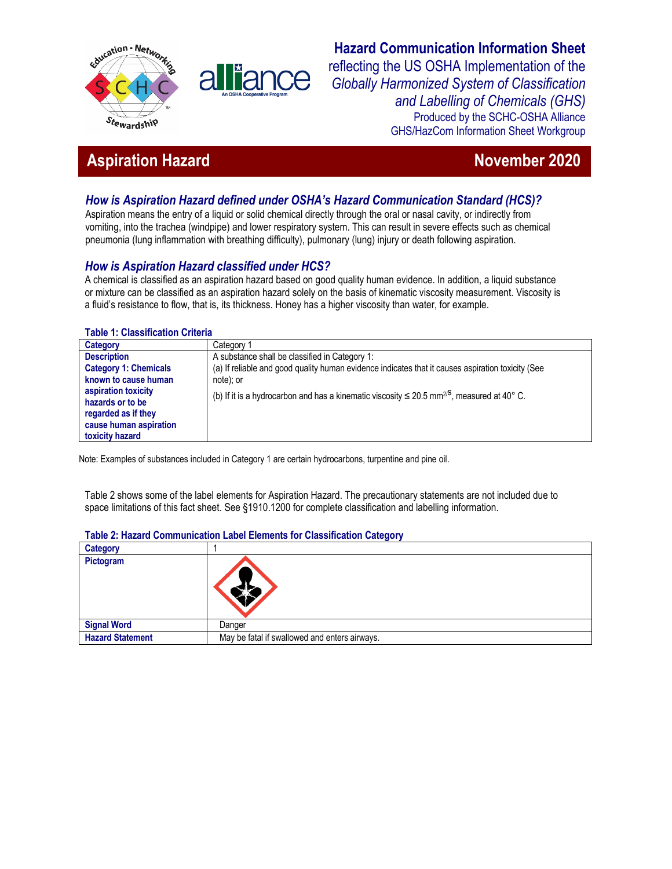

# **Hazard Communication Information Sheet**

reflecting the US OSHA Implementation of the *Globally Harmonized System of Classification and Labelling of Chemicals (GHS)*  Produced by the SCHC-OSHA Alliance GHS/HazCom Information Sheet Workgroup

# **Aspiration Hazard November 2020**

# *How is Aspiration Hazard defined under OSHA's Hazard Communication Standard (HCS)?*

Aspiration means the entry of a liquid or solid chemical directly through the oral or nasal cavity, or indirectly from vomiting, into the trachea (windpipe) and lower respiratory system. This can result in severe effects such as chemical pneumonia (lung inflammation with breathing difficulty), pulmonary (lung) injury or death following aspiration.

## *How is Aspiration Hazard classified under HCS?*

A chemical is classified as an aspiration hazard based on good quality human evidence. In addition, a liquid substance or mixture can be classified as an aspiration hazard solely on the basis of kinematic viscosity measurement. Viscosity is a fluid's resistance to flow, that is, its thickness. Honey has a higher viscosity than water, for example.

#### **Table 1: Classification Criteria**

| <b>Category</b>              | Category 1                                                                                                  |
|------------------------------|-------------------------------------------------------------------------------------------------------------|
| <b>Description</b>           | A substance shall be classified in Category 1:                                                              |
| <b>Category 1: Chemicals</b> | (a) If reliable and good quality human evidence indicates that it causes aspiration toxicity (See           |
| known to cause human         | note); or                                                                                                   |
| aspiration toxicity          | (b) If it is a hydrocarbon and has a kinematic viscosity $\leq$ 20.5 mm <sup>2/S</sup> , measured at 40° C. |
| hazards or to be             |                                                                                                             |
| regarded as if they          |                                                                                                             |
| cause human aspiration       |                                                                                                             |
| toxicity hazard              |                                                                                                             |

Note: Examples of substances included in Category 1 are certain hydrocarbons, turpentine and pine oil.

Table 2 shows some of the label elements for Aspiration Hazard. The precautionary statements are not included due to space limitations of this fact sheet. See §1910.1200 for complete classification and labelling information.

#### **Table 2: Hazard Communication Label Elements for Classification Category**

| <b>Category</b>         |                                               |
|-------------------------|-----------------------------------------------|
| Pictogram               |                                               |
| <b>Signal Word</b>      | Danger                                        |
| <b>Hazard Statement</b> | May be fatal if swallowed and enters airways. |